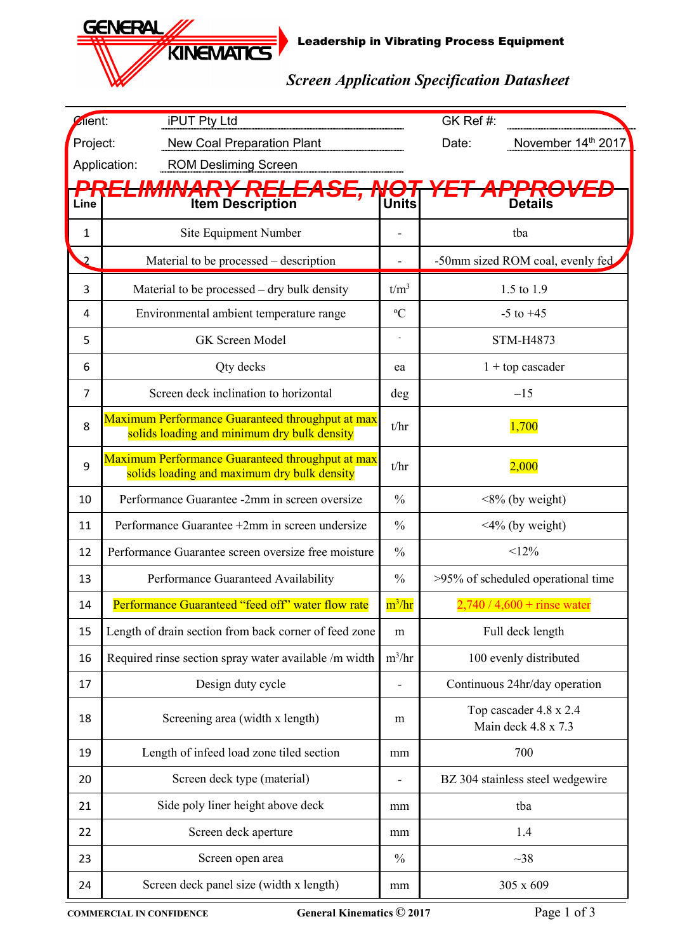Leadership in Vibrating Process Equipment

## *Screen Application Specification Datasheet*

| Zlient:<br><b>iPUT Pty Ltd</b>                |                                                                                                 | GK Ref #:     |                                               |  |  |
|-----------------------------------------------|-------------------------------------------------------------------------------------------------|---------------|-----------------------------------------------|--|--|
| <b>New Coal Preparation Plant</b><br>Project: |                                                                                                 |               | November 14th 2017<br>Date:                   |  |  |
| Application:<br><b>ROM Desliming Screen</b>   |                                                                                                 |               |                                               |  |  |
| Line                                          | DDE<br><i><b>ARY RE</b></i><br><b>Item Description</b>                                          | Units         | <b>Details</b>                                |  |  |
| $\mathbf{1}$                                  | Site Equipment Number                                                                           |               | tba                                           |  |  |
| $\overline{2}$                                | Material to be processed – description                                                          |               | -50mm sized ROM coal, evenly fed.             |  |  |
| 3                                             | Material to be processed – dry bulk density                                                     | $t/m^3$       | 1.5 to 1.9                                    |  |  |
| 4                                             | Environmental ambient temperature range                                                         | ${}^{\circ}C$ | $-5$ to $+45$                                 |  |  |
| 5                                             | GK Screen Model                                                                                 |               | <b>STM-H4873</b>                              |  |  |
| 6                                             | Qty decks                                                                                       | ea            | $1 +$ top cascader                            |  |  |
| 7                                             | Screen deck inclination to horizontal                                                           | deg           | $-15$                                         |  |  |
| 8                                             | Maximum Performance Guaranteed throughput at max<br>solids loading and minimum dry bulk density | t/hr          | 1,700                                         |  |  |
| 9                                             | Maximum Performance Guaranteed throughput at max<br>solids loading and maximum dry bulk density | t/hr          | 2,000                                         |  |  |
| 10                                            | Performance Guarantee -2mm in screen oversize                                                   | $\frac{0}{0}$ | $\langle 8\%$ (by weight)                     |  |  |
| 11                                            | Performance Guarantee +2mm in screen undersize                                                  |               | $\leq$ 4% (by weight)                         |  |  |
| 12                                            | Performance Guarantee screen oversize free moisture                                             |               | <12%                                          |  |  |
| 13                                            | Performance Guaranteed Availability                                                             |               | >95% of scheduled operational time            |  |  |
| 14                                            | Performance Guaranteed "feed off" water flow rate                                               |               | $2,740 / 4,600 +$ rinse water                 |  |  |
| 15                                            | Length of drain section from back corner of feed zone                                           |               | Full deck length                              |  |  |
| 16                                            | Required rinse section spray water available /m width                                           |               | 100 evenly distributed                        |  |  |
| 17                                            | Design duty cycle                                                                               |               | Continuous 24hr/day operation                 |  |  |
| 18                                            | Screening area (width x length)                                                                 |               | Top cascader 4.8 x 2.4<br>Main deck 4.8 x 7.3 |  |  |
| 19                                            | Length of infeed load zone tiled section                                                        |               | 700                                           |  |  |
| 20                                            | Screen deck type (material)                                                                     |               | BZ 304 stainless steel wedgewire              |  |  |
| 21                                            | Side poly liner height above deck                                                               |               | tba                                           |  |  |
| 22                                            | Screen deck aperture                                                                            |               | 1.4                                           |  |  |
| 23                                            | Screen open area                                                                                |               | ~1                                            |  |  |
| 24                                            | Screen deck panel size (width x length)                                                         | mm            | 305 x 609                                     |  |  |

**GENERAL,** 

KINEMATICS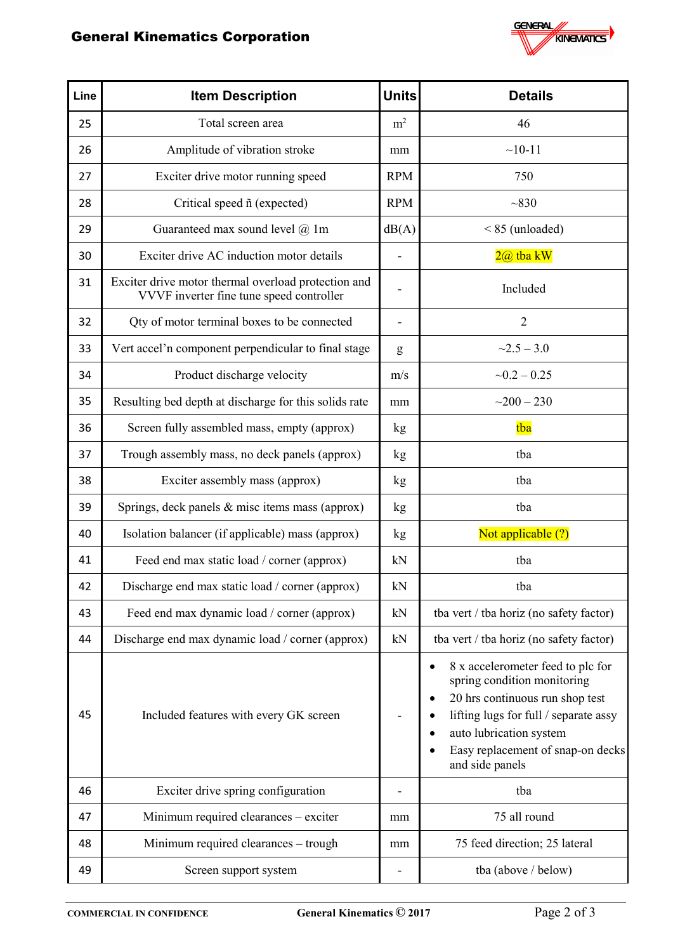## General Kinematics Corporation



| Line | <b>Item Description</b>                                                                         | <b>Units</b>             | <b>Details</b>                                                                                                                                                                                                                  |  |  |
|------|-------------------------------------------------------------------------------------------------|--------------------------|---------------------------------------------------------------------------------------------------------------------------------------------------------------------------------------------------------------------------------|--|--|
| 25   | Total screen area                                                                               | m <sup>2</sup>           | 46                                                                                                                                                                                                                              |  |  |
| 26   | Amplitude of vibration stroke                                                                   | mm                       | $~10-11$                                                                                                                                                                                                                        |  |  |
| 27   | Exciter drive motor running speed                                                               | <b>RPM</b>               | 750                                                                                                                                                                                                                             |  |  |
| 28   | Critical speed $ñ$ (expected)                                                                   | <b>RPM</b>               | ~1830                                                                                                                                                                                                                           |  |  |
| 29   | Guaranteed max sound level @ 1m                                                                 | dB(A)                    | $< 85$ (unloaded)                                                                                                                                                                                                               |  |  |
| 30   | Exciter drive AC induction motor details                                                        |                          | $2@$ tba $kW$                                                                                                                                                                                                                   |  |  |
| 31   | Exciter drive motor thermal overload protection and<br>VVVF inverter fine tune speed controller |                          | Included                                                                                                                                                                                                                        |  |  |
| 32   | Qty of motor terminal boxes to be connected                                                     | $\overline{\phantom{0}}$ | $\overline{2}$                                                                                                                                                                                                                  |  |  |
| 33   | Vert accel'n component perpendicular to final stage                                             | ${\bf g}$                | $\sim$ 2.5 – 3.0                                                                                                                                                                                                                |  |  |
| 34   | Product discharge velocity                                                                      | m/s                      | $-0.2 - 0.25$                                                                                                                                                                                                                   |  |  |
| 35   | Resulting bed depth at discharge for this solids rate                                           | mm                       | $-200 - 230$                                                                                                                                                                                                                    |  |  |
| 36   | Screen fully assembled mass, empty (approx)                                                     | kg                       | tba                                                                                                                                                                                                                             |  |  |
| 37   | Trough assembly mass, no deck panels (approx)                                                   | kg                       | tba                                                                                                                                                                                                                             |  |  |
| 38   | Exciter assembly mass (approx)                                                                  | kg                       | tba                                                                                                                                                                                                                             |  |  |
| 39   | Springs, deck panels & misc items mass (approx)                                                 | kg                       | tba                                                                                                                                                                                                                             |  |  |
| 40   | Isolation balancer (if applicable) mass (approx)                                                | kg                       | Not applicable (?)                                                                                                                                                                                                              |  |  |
| 41   | Feed end max static load / corner (approx)                                                      | kN                       | tba                                                                                                                                                                                                                             |  |  |
| 42   | Discharge end max static load / corner (approx)                                                 | kN                       | tba                                                                                                                                                                                                                             |  |  |
| 43   | Feed end max dynamic load / corner (approx)                                                     | kN                       | tba vert / tba horiz (no safety factor)                                                                                                                                                                                         |  |  |
| 44   | Discharge end max dynamic load / corner (approx)                                                | kN                       | tba vert / tba horiz (no safety factor)                                                                                                                                                                                         |  |  |
| 45   | Included features with every GK screen                                                          |                          | 8 x accelerometer feed to plc for<br>spring condition monitoring<br>20 hrs continuous run shop test<br>lifting lugs for full / separate assy<br>auto lubrication system<br>Easy replacement of snap-on decks<br>and side panels |  |  |
| 46   | Exciter drive spring configuration                                                              |                          | tba                                                                                                                                                                                                                             |  |  |
| 47   | Minimum required clearances - exciter                                                           | mm                       | 75 all round                                                                                                                                                                                                                    |  |  |
| 48   | Minimum required clearances - trough                                                            | mm                       | 75 feed direction; 25 lateral                                                                                                                                                                                                   |  |  |
| 49   | Screen support system                                                                           | $\overline{\phantom{0}}$ | tba (above / below)                                                                                                                                                                                                             |  |  |